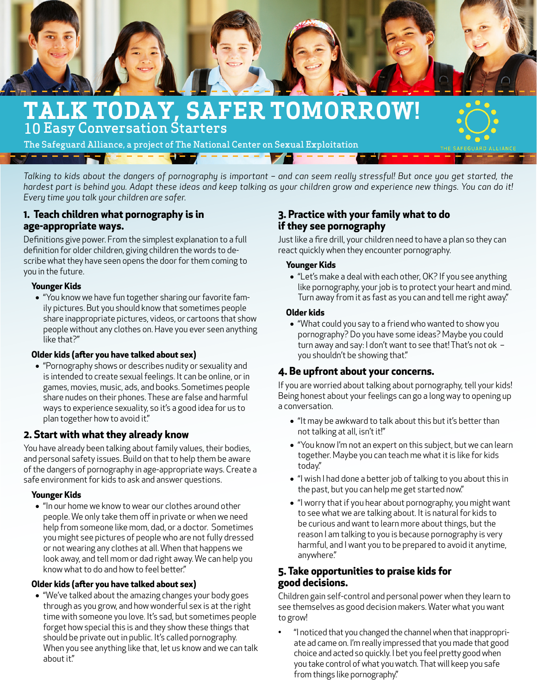

# **TALK TODAY, SAFER TOMORROW!** 10 Easy Conversation Starters

The Safeguard Alliance, a project of The National Center on Sexual Exploitation

*Talking to kids about the dangers of pornography is important – and can seem really stressful! But once you get started, the hardest part is behind you. Adapt these ideas and keep talking as your children grow and experience new things. You can do it! Every time you talk your children are safer.*

# **1. Teach children what pornography is in age-appropriate ways.**

Definitions give power. From the simplest explanation to a full definition for older children, giving children the words to describe what they have seen opens the door for them coming to you in the future.

## **Younger Kids**

• "You know we have fun together sharing our favorite family pictures. But you should know that sometimes people share inappropriate pictures, videos, or cartoons that show people without any clothes on. Have you ever seen anything like that?"

## **Older kids (after you have talked about sex)**

• "Pornography shows or describes nudity or sexuality and is intended to create sexual feelings. It can be online, or in games, movies, music, ads, and books. Sometimes people share nudes on their phones. These are false and harmful ways to experience sexuality, so it's a good idea for us to plan together how to avoid it."

## **2. Start with what they already know**

You have already been talking about family values, their bodies, and personal safety issues. Build on that to help them be aware of the dangers of pornography in age-appropriate ways. Create a safe environment for kids to ask and answer questions.

#### **Younger Kids**

• "In our home we know to wear our clothes around other people. We only take them off in private or when we need help from someone like mom, dad, or a doctor. Sometimes you might see pictures of people who are not fully dressed or not wearing any clothes at all. When that happens we look away, and tell mom or dad right away. We can help you know what to do and how to feel better."

#### **Older kids (after you have talked about sex)**

• "We've talked about the amazing changes your body goes through as you grow, and how wonderful sex is at the right time with someone you love. It's sad, but sometimes people forget how special this is and they show these things that should be private out in public. It's called pornography. When you see anything like that, let us know and we can talk about it."

# **3. Practice with your family what to do if they see pornography**

Just like a fire drill, your children need to have a plan so they can react quickly when they encounter pornography.

## **Younger Kids**

• "Let's make a deal with each other, OK? If you see anything like pornography, your job is to protect your heart and mind. Turn away from it as fast as you can and tell me right away."

#### **Older kids**

• "What could you say to a friend who wanted to show you pornography? Do you have some ideas? Maybe you could turn away and say: I don't want to see that! That's not ok – you shouldn't be showing that."

# **4. Be upfront about your concerns.**

If you are worried about talking about pornography, tell your kids! Being honest about your feelings can go a long way to opening up a conversation.

- "It may be awkward to talk about this but it's better than not talking at all, isn't it!"
- "You know I'm not an expert on this subject, but we can learn together. Maybe you can teach me what it is like for kids today."
- "I wish I had done a better job of talking to you about this in the past, but you can help me get started now."
- "I worry that if you hear about pornography, you might want to see what we are talking about. It is natural for kids to be curious and want to learn more about things, but the reason I am talking to you is because pornography is very harmful, and I want you to be prepared to avoid it anytime, anywhere."

## **5. Take opportunities to praise kids for good decisions.**

Children gain self-control and personal power when they learn to see themselves as good decision makers. Water what you want to grow!

• "I noticed that you changed the channel when that inappropriate ad came on. I'm really impressed that you made that good choice and acted so quickly. I bet you feel pretty good when you take control of what you watch. That will keep you safe from things like pornography."